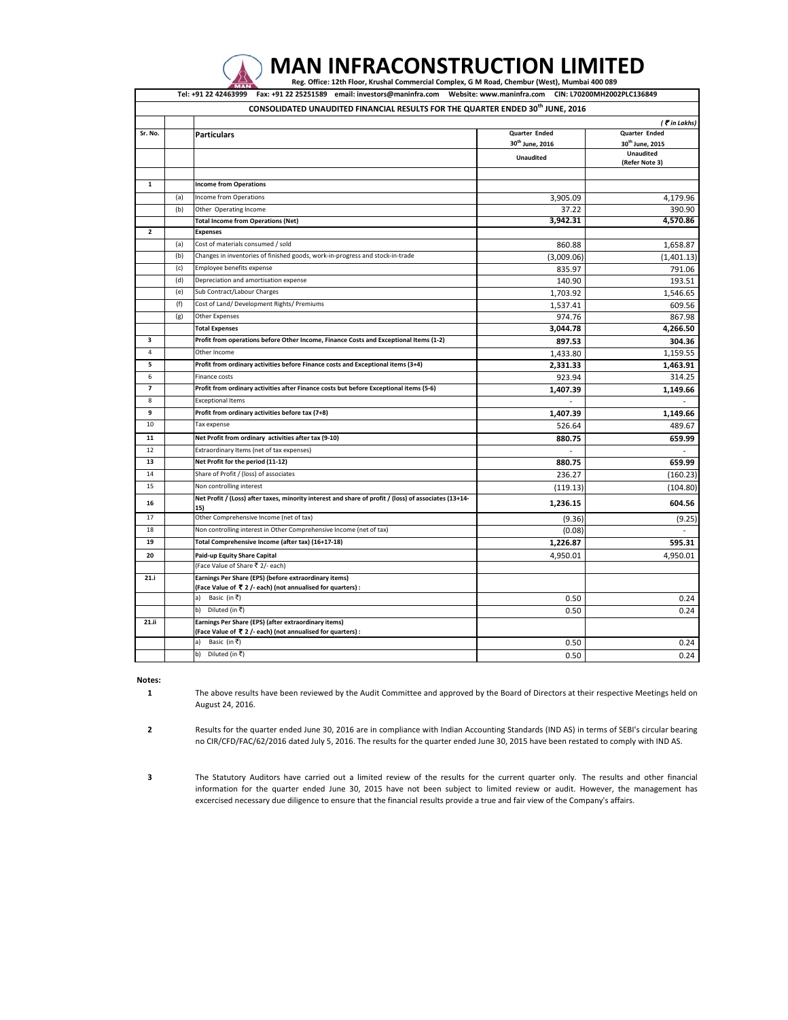|                         |     | Tel: +91 22 42463999 Fax: +91 22 25251589 email: investors@maninfra.com Website: www.maninfra.com CIN: L70200MH2002PLC136849 |                             |                                                 |
|-------------------------|-----|------------------------------------------------------------------------------------------------------------------------------|-----------------------------|-------------------------------------------------|
|                         |     | CONSOLIDATED UNAUDITED FINANCIAL RESULTS FOR THE QUARTER ENDED 30 <sup>th</sup> JUNE, 2016                                   |                             |                                                 |
|                         |     |                                                                                                                              |                             | $($ $\bar{\mathbf{r}}$ in Lakhs)                |
| Sr. No.                 |     | <b>Particulars</b>                                                                                                           | Quarter Ended               | Quarter Ended                                   |
|                         |     |                                                                                                                              | 30 <sup>th</sup> June, 2016 | 30 <sup>th</sup> June, 2015<br><b>Unaudited</b> |
|                         |     |                                                                                                                              | <b>Unaudited</b>            | (Refer Note 3)                                  |
|                         |     |                                                                                                                              |                             |                                                 |
| $\mathbf{1}$            |     | <b>Income from Operations</b>                                                                                                |                             |                                                 |
|                         | (a) | Income from Operations                                                                                                       | 3,905.09                    | 4,179.96                                        |
|                         | (b) | Other Operating Income                                                                                                       | 37.22                       | 390.90                                          |
|                         |     | <b>Total Income from Operations (Net)</b>                                                                                    | 3,942.31                    | 4,570.86                                        |
| $\overline{\mathbf{2}}$ |     | <b>Expenses</b>                                                                                                              |                             |                                                 |
|                         | (a) | Cost of materials consumed / sold                                                                                            | 860.88                      | 1,658.87                                        |
|                         | (b) | Changes in inventories of finished goods, work-in-progress and stock-in-trade                                                | (3,009.06)                  | (1,401.13)                                      |
|                         | (c) | Employee benefits expense                                                                                                    | 835.97                      | 791.06                                          |
|                         | (d) | Depreciation and amortisation expense                                                                                        | 140.90                      | 193.51                                          |
|                         | (e) | Sub Contract/Labour Charges                                                                                                  | 1,703.92                    | 1,546.65                                        |
|                         | (f) | Cost of Land/ Development Rights/ Premiums                                                                                   | 1,537.41                    | 609.56                                          |
|                         | (g) | Other Expenses                                                                                                               | 974.76                      | 867.98                                          |
|                         |     | <b>Total Expenses</b>                                                                                                        | 3,044.78                    | 4,266.50                                        |
| 3                       |     | Profit from operations before Other Income, Finance Costs and Exceptional Items (1-2)                                        | 897.53                      | 304.36                                          |
| $\overline{4}$          |     | Other Income                                                                                                                 | 1,433.80                    | 1,159.55                                        |
| 5                       |     | Profit from ordinary activities before Finance costs and Exceptional items (3+4)                                             | 2,331.33                    | 1,463.91                                        |
| 6                       |     | Finance costs                                                                                                                | 923.94                      | 314.25                                          |
| $\overline{\mathbf{z}}$ |     | Profit from ordinary activities after Finance costs but before Exceptional items (5-6)                                       | 1,407.39                    | 1,149.66                                        |
| 8                       |     | <b>Exceptional Items</b>                                                                                                     |                             |                                                 |
| 9                       |     | Profit from ordinary activities before tax (7+8)                                                                             | 1.407.39                    | 1.149.66                                        |
| 10                      |     | Tax expense                                                                                                                  | 526.64                      | 489.67                                          |
| 11                      |     | Net Profit from ordinary activities after tax (9-10)                                                                         | 880.75                      | 659.99                                          |
| 12                      |     | Extraordinary Items (net of tax expenses)                                                                                    |                             |                                                 |
| 13                      |     | Net Profit for the period (11-12)                                                                                            | 880.75                      | 659.99                                          |
| 14                      |     | Share of Profit / (loss) of associates                                                                                       | 236.27                      | (160.23)                                        |
| 15                      |     | Non controlling interest                                                                                                     | (119.13)                    | (104.80)                                        |
| 16                      |     | Net Profit / (Loss) after taxes, minority interest and share of profit / (loss) of associates (13+14-<br>15)                 | 1,236.15                    | 604.56                                          |
| 17                      |     | Other Comprehensive Income (net of tax)                                                                                      | (9.36)                      | (9.25)                                          |
| 18                      |     | Non controlling interest in Other Comprehensive Income (net of tax)                                                          | (0.08)                      |                                                 |
| 19                      |     | Total Comprehensive Income (after tax) (16+17-18)                                                                            | 1,226.87                    | 595.31                                          |
| 20                      |     | Paid-up Equity Share Capital                                                                                                 | 4,950.01                    | 4,950.01                                        |
|                         |     | (Face Value of Share ₹ 2/- each)                                                                                             |                             |                                                 |
| 21.i                    |     | Earnings Per Share (EPS) (before extraordinary items)<br>(Face Value of ₹ 2/- each) (not annualised for quarters) :          |                             |                                                 |
|                         |     | a) Basic (in ₹)                                                                                                              | 0.50                        | 0.24                                            |
|                         |     | b) Diluted (in ₹)                                                                                                            | 0.50                        | 0.24                                            |
| 21.ii                   |     | Earnings Per Share (EPS) (after extraordinary items)<br>(Face Value of ₹ 2/- each) (not annualised for quarters) :           |                             |                                                 |
|                         |     | Basic (in ₹)<br>a)                                                                                                           | 0.50                        | 0.24                                            |
|                         |     | Diluted (in ₹)<br>b)                                                                                                         | 0.50                        | 0.24                                            |

MAN INFRACONSTRUCTION LIMITED

## **Notes:**

**1**

The above results have been reviewed by the Audit Committee and approved by the Board of Directors at their respective Meetings held on August 24, 2016.

**2** Results for the quarter ended June 30, 2016 are in compliance with Indian Accounting Standards (IND AS) in terms of SEBI's circular bearing no CIR/CFD/FAC/62/2016 dated July 5, 2016. The results for the quarter ended June 30, 2015 have been restated to comply with IND AS.

**3** The Statutory Auditors have carried out a limited review of the results for the current quarter only. The results and other financial information for the quarter ended June 30, 2015 have not been subject to limited review or audit. However, the management has excercised necessary due diligence to ensure that the financial results provide a true and fair view of the Company's affairs.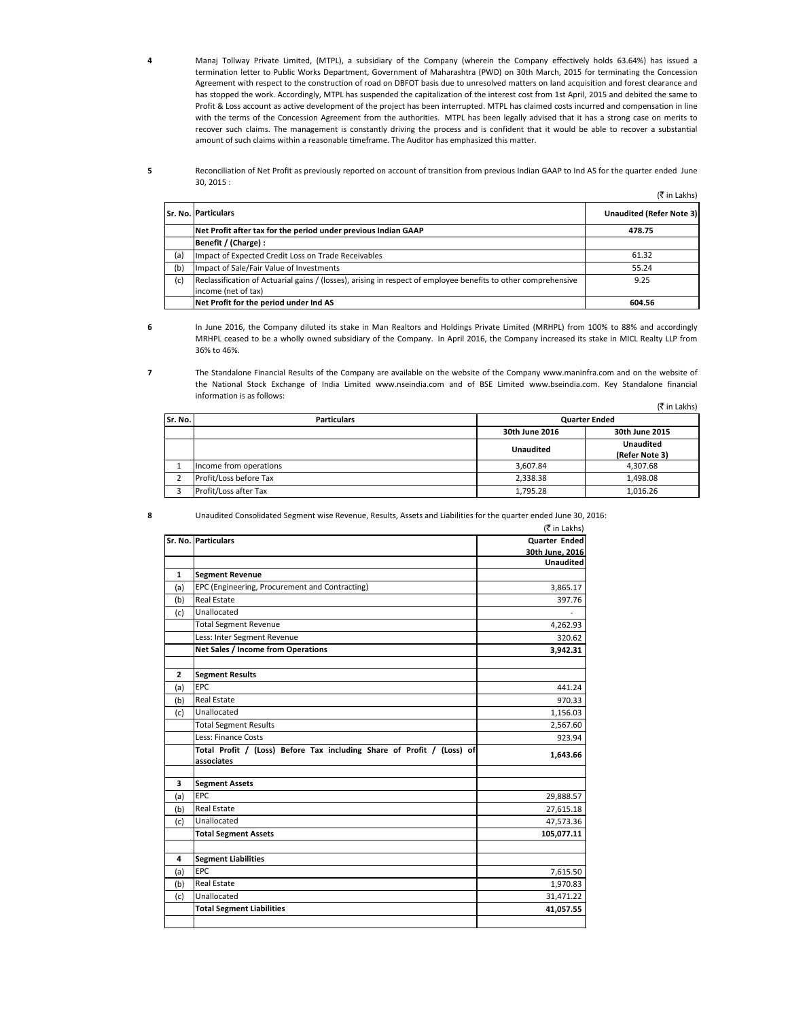Manaj Tollway Private Limited, (MTPL), a subsidiary of the Company (wherein the Company effectively holds 63.64%) has issued a termination letter to Public Works Department, Government of Maharashtra (PWD) on 30th March, 2015 for terminating the Concession Agreement with respect to the construction of road on DBFOT basis due to unresolved matters on land acquisition and forest clearance and has stopped the work. Accordingly, MTPL has suspended the capitalization of the interest cost from 1st April, 2015 and debited the same to Profit & Loss account as active development of the project has been interrupted. MTPL has claimed costs incurred and compensation in line with the terms of the Concession Agreement from the authorities. MTPL has been legally advised that it has a strong case on merits to recover such claims. The management is constantly driving the process and is confident that it would be able to recover a substantial amount of such claims within a reasonable timeframe. The Auditor has emphasized this matter.

Reconciliation of Net Profit as previously reported on account of transition from previous Indian GAAP to Ind AS for the quarter ended June 30, 2015 :

 $(\bar{\bar{\tau}}$  in Lakhs)

|     | <b>Sr. No. Particulars</b>                                                                                     | <b>Unaudited (Refer Note 3)</b> |
|-----|----------------------------------------------------------------------------------------------------------------|---------------------------------|
|     | Net Profit after tax for the period under previous Indian GAAP                                                 | 478.75                          |
|     | Benefit / (Charge) :                                                                                           |                                 |
| (a) | Impact of Expected Credit Loss on Trade Receivables                                                            | 61.32                           |
| (b) | Impact of Sale/Fair Value of Investments                                                                       | 55.24                           |
| (c) | Reclassification of Actuarial gains / (losses), arising in respect of employee benefits to other comprehensive | 9.25                            |
|     | income (net of tax)                                                                                            |                                 |
|     | Net Profit for the period under Ind AS                                                                         | 604.56                          |

**6**

**7**

**4**

**5**

In June 2016, the Company diluted its stake in Man Realtors and Holdings Private Limited (MRHPL) from 100% to 88% and accordingly MRHPL ceased to be a wholly owned subsidiary of the Company. In April 2016, the Company increased its stake in MICL Realty LLP from 36% to 46%.

 $(\mathcal{F}$  in Lakhe) The Standalone Financial Results of the Company are available on the website of the Company www.maninfra.com and on the website of the National Stock Exchange of India Limited www.nseindia.com and of BSE Limited www.bseindia.com. Key Standalone financial information is as follows:

|         |                        |                      | IS III LAKIIS)   |
|---------|------------------------|----------------------|------------------|
| Sr. No. | <b>Particulars</b>     | <b>Quarter Ended</b> |                  |
|         |                        | 30th June 2016       | 30th June 2015   |
|         |                        | <b>Unaudited</b>     | <b>Unaudited</b> |
|         |                        |                      | (Refer Note 3)   |
|         | Income from operations | 3.607.84             | 4.307.68         |
|         | Profit/Loss before Tax | 2,338.38             | 1,498.08         |
|         | Profit/Loss after Tax  | 1.795.28             | 1.016.26         |

**8**

 $\alpha$  in Lakhsberg ( Unaudited Consolidated Segment wise Revenue, Results, Assets and Liabilities for the quarter ended June 30, 2016:

|                |                                                                        | (K in Lakhs)         |
|----------------|------------------------------------------------------------------------|----------------------|
|                | Sr. No. Particulars                                                    | <b>Quarter Ended</b> |
|                |                                                                        | 30th June, 2016      |
|                |                                                                        | <b>Unaudited</b>     |
| $\mathbf{1}$   | <b>Segment Revenue</b>                                                 |                      |
| (a)            | EPC (Engineering, Procurement and Contracting)                         | 3,865.17             |
| (b)            | <b>Real Estate</b>                                                     | 397.76               |
| (c)            | Unallocated                                                            |                      |
|                | <b>Total Segment Revenue</b>                                           | 4,262.93             |
|                | Less: Inter Segment Revenue                                            | 320.62               |
|                | Net Sales / Income from Operations                                     | 3,942.31             |
|                |                                                                        |                      |
| $\overline{2}$ | <b>Segment Results</b>                                                 |                      |
| (a)            | EPC                                                                    | 441.24               |
| (b)            | <b>Real Estate</b>                                                     | 970.33               |
| (c)            | Unallocated                                                            | 1,156.03             |
|                | <b>Total Segment Results</b>                                           | 2,567.60             |
|                | Less: Finance Costs                                                    | 923.94               |
|                | Total Profit / (Loss) Before Tax including Share of Profit / (Loss) of | 1,643.66             |
|                | associates                                                             |                      |
|                |                                                                        |                      |
| 3              | <b>Segment Assets</b>                                                  |                      |
| (a)            | EPC                                                                    | 29,888.57            |
| (b)            | <b>Real Estate</b>                                                     | 27,615.18            |
| (c)            | Unallocated                                                            | 47,573.36            |
|                | <b>Total Segment Assets</b>                                            | 105,077.11           |
|                |                                                                        |                      |
| 4              | <b>Segment Liabilities</b>                                             |                      |
| (a)            | EPC                                                                    | 7,615.50             |
| (b)            | <b>Real Estate</b>                                                     | 1,970.83             |
| (c)            | Unallocated                                                            | 31,471.22            |
|                | <b>Total Segment Liabilities</b>                                       | 41,057.55            |
|                |                                                                        |                      |